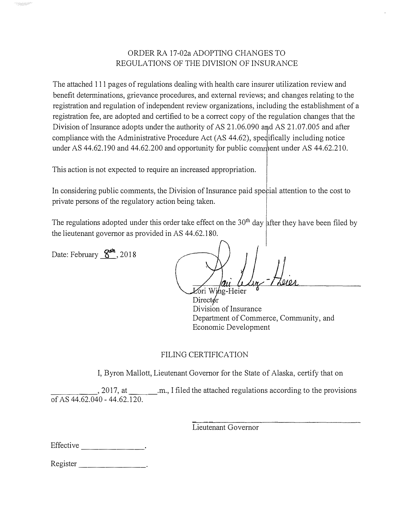## ORDER RA 17-02a ADOPTING CHANGES TO REGULATIONS OF THE DIVISION OF INSURANCE

The attached 111 pages of regulations dealing with health care insurer utilization review and benefit determinations, grievance procedures, and external reviews; and changes relating to the registration and regulation of independent review organizations, including the establishment of a registration fee, are adopted and certified to be a correct copy of the regulation changes that the Division of Insurance adopts under the authority of AS  $21.06.090$  and AS  $21.07.005$  and after compliance with the Administrative Procedure Act (AS 44.62), spedifically including notice under AS 44.62.190 and 44.62.200 and opportunity for public comment under AS 44.62.210.

This action is not expected to require an increased appropriation.

In considering public comments, the Division of Insurance paid special attention to the cost to private persons of the regulatory action being taken.

The regulations adopted under this order take effect on the  $30<sup>th</sup>$  day after they have been filed by the lieutenant governor as provided in AS 44.62.180.

Date: February  $\mathbf{S}^{\text{th}}$ , 2018

Lori Wing-Heier  $Direct\phi r$ Division of Insurance Department of Commerce, Community, and Economic Development

## FILING CERTIFICATION

I, Byron Mallott, Lieutenant Governor for the State of Alaska, certify that on

, 2017, at ..., I filed the attached regulations according to the provisions of AS 44.62.040 - 44.62.120.

Lieutenant Governor

Register